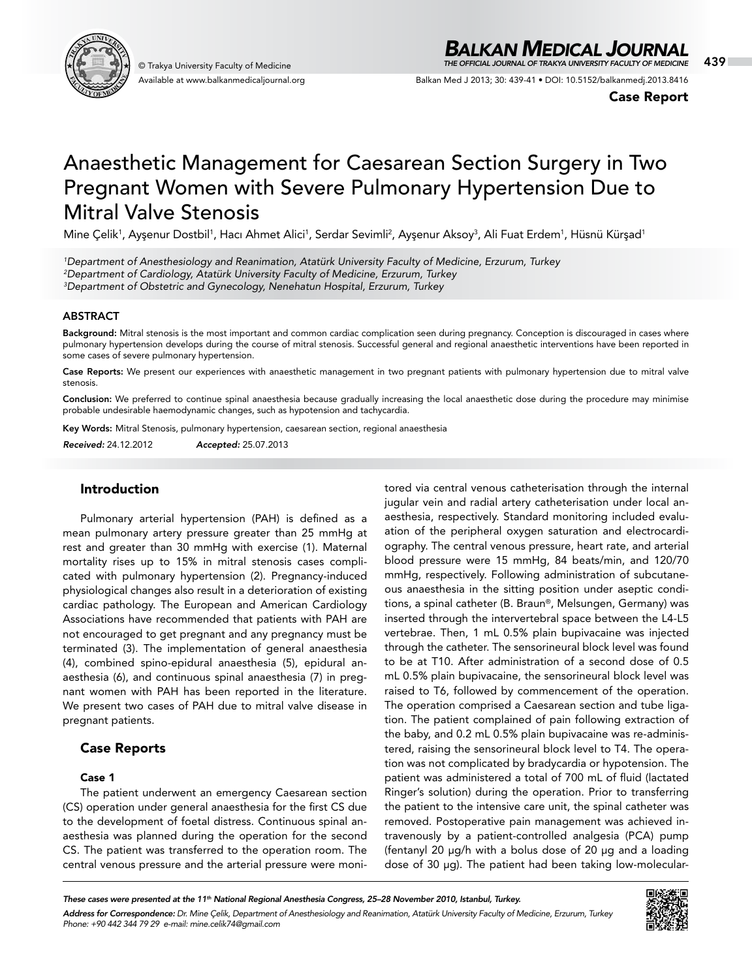

Available at www.balkanmedicaljournal.org

# *BALKAN MEDICAL JOURNAL*

© Trakya University Faculty of Medicine 439 *THE OFFICIAL JOURNAL OF TRAKYA UNIVERSITY FACULTY OF MEDICINE*

Balkan Med J 2013; 30: 439-41 • DOI: 10.5152/balkanmedj.2013.8416

Case Report

# Anaesthetic Management for Caesarean Section Surgery in Two Pregnant Women with Severe Pulmonary Hypertension Due to Mitral Valve Stenosis

Mine Çelik<sup>1</sup>, Ayşenur Dostbil<sup>1</sup>, Hacı Ahmet Alici<sup>1</sup>, Serdar Sevimli<sup>2</sup>, Ayşenur Aksoy<sup>3</sup>, Ali Fuat Erdem<sup>1</sup>, Hüsnü Kürşad<sup>1</sup>

*1 Department of Anesthesiology and Reanimation, Atatürk University Faculty of Medicine, Erzurum, Turkey 2 Department of Cardiology, Atatürk University Faculty of Medicine, Erzurum, Turkey 3 Department of Obstetric and Gynecology, Nenehatun Hospital, Erzurum, Turkey*

#### ABSTRACT

Background: Mitral stenosis is the most important and common cardiac complication seen during pregnancy. Conception is discouraged in cases where pulmonary hypertension develops during the course of mitral stenosis. Successful general and regional anaesthetic interventions have been reported in some cases of severe pulmonary hypertension.

Case Reports: We present our experiences with anaesthetic management in two pregnant patients with pulmonary hypertension due to mitral valve stenosis.

Conclusion: We preferred to continue spinal anaesthesia because gradually increasing the local anaesthetic dose during the procedure may minimise probable undesirable haemodynamic changes, such as hypotension and tachycardia.

Key Words: Mitral Stenosis, pulmonary hypertension, caesarean section, regional anaesthesia

*Received:* 24.12.2012 *Accepted:* 25.07.2013

### Introduction

Pulmonary arterial hypertension (PAH) is defined as a mean pulmonary artery pressure greater than 25 mmHg at rest and greater than 30 mmHg with exercise (1). Maternal mortality rises up to 15% in mitral stenosis cases complicated with pulmonary hypertension (2). Pregnancy-induced physiological changes also result in a deterioration of existing cardiac pathology. The European and American Cardiology Associations have recommended that patients with PAH are not encouraged to get pregnant and any pregnancy must be terminated (3). The implementation of general anaesthesia (4), combined spino-epidural anaesthesia (5), epidural anaesthesia (6), and continuous spinal anaesthesia (7) in pregnant women with PAH has been reported in the literature. We present two cases of PAH due to mitral valve disease in pregnant patients.

# Case Reports

## Case 1

The patient underwent an emergency Caesarean section (CS) operation under general anaesthesia for the first CS due to the development of foetal distress. Continuous spinal anaesthesia was planned during the operation for the second CS. The patient was transferred to the operation room. The central venous pressure and the arterial pressure were moni-

tored via central venous catheterisation through the internal jugular vein and radial artery catheterisation under local anaesthesia, respectively. Standard monitoring included evaluation of the peripheral oxygen saturation and electrocardiography. The central venous pressure, heart rate, and arterial blood pressure were 15 mmHg, 84 beats/min, and 120/70 mmHg, respectively. Following administration of subcutaneous anaesthesia in the sitting position under aseptic conditions, a spinal catheter (B. Braun®, Melsungen, Germany) was inserted through the intervertebral space between the L4-L5 vertebrae. Then, 1 mL 0.5% plain bupivacaine was injected through the catheter. The sensorineural block level was found to be at T10. After administration of a second dose of 0.5 mL 0.5% plain bupivacaine, the sensorineural block level was raised to T6, followed by commencement of the operation. The operation comprised a Caesarean section and tube ligation. The patient complained of pain following extraction of the baby, and 0.2 mL 0.5% plain bupivacaine was re-administered, raising the sensorineural block level to T4. The operation was not complicated by bradycardia or hypotension. The patient was administered a total of 700 mL of fluid (lactated Ringer's solution) during the operation. Prior to transferring the patient to the intensive care unit, the spinal catheter was removed. Postoperative pain management was achieved intravenously by a patient-controlled analgesia (PCA) pump (fentanyl 20 μg/h with a bolus dose of 20 μg and a loading dose of 30 μg). The patient had been taking low-molecular-

*These cases were presented at the 11th National Regional Anesthesia Congress, 25–28 November 2010, Istanbul, Turkey. Address for Correspondence: Dr. Mine Çelik, Department of Anesthesiology and Reanimation, Atatürk University Faculty of Medicine, Erzurum, Turkey Phone: +90 442 344 79 29 e-mail: mine.celik74@gmail.com*

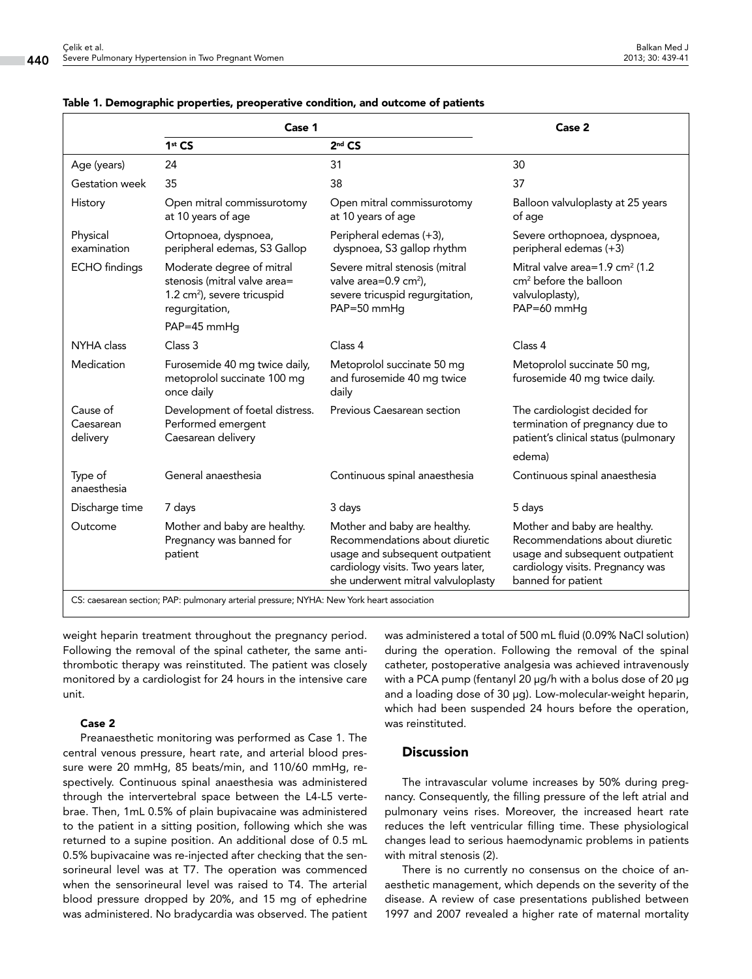|                                                                                           | Case 1                                                                                                                 |                                                                                                                                                                                | Case 2                                                                                                                                                      |
|-------------------------------------------------------------------------------------------|------------------------------------------------------------------------------------------------------------------------|--------------------------------------------------------------------------------------------------------------------------------------------------------------------------------|-------------------------------------------------------------------------------------------------------------------------------------------------------------|
|                                                                                           | 1st CS                                                                                                                 | $2nd$ CS                                                                                                                                                                       |                                                                                                                                                             |
| Age (years)                                                                               | 24                                                                                                                     | 31                                                                                                                                                                             | 30                                                                                                                                                          |
| Gestation week                                                                            | 35                                                                                                                     | 38                                                                                                                                                                             | 37                                                                                                                                                          |
| History                                                                                   | Open mitral commissurotomy<br>at 10 years of age                                                                       | Open mitral commissurotomy<br>at 10 years of age                                                                                                                               | Balloon valvuloplasty at 25 years<br>of age                                                                                                                 |
| Physical<br>examination                                                                   | Ortopnoea, dyspnoea,<br>peripheral edemas, S3 Gallop                                                                   | Peripheral edemas (+3),<br>dyspnoea, S3 gallop rhythm                                                                                                                          | Severe orthopnoea, dyspnoea,<br>peripheral edemas (+3)                                                                                                      |
| <b>ECHO</b> findings                                                                      | Moderate degree of mitral<br>stenosis (mitral valve area=<br>1.2 cm <sup>2</sup> ), severe tricuspid<br>regurgitation, | Severe mitral stenosis (mitral<br>valve area=0.9 cm <sup>2</sup> ),<br>severe tricuspid regurgitation,<br>PAP=50 mmHg                                                          | Mitral valve area=1.9 cm <sup>2</sup> (1.2<br>cm <sup>2</sup> before the balloon<br>valvuloplasty),<br>PAP=60 mmHg                                          |
|                                                                                           | PAP=45 mmHg                                                                                                            |                                                                                                                                                                                |                                                                                                                                                             |
| NYHA class                                                                                | Class 3                                                                                                                | Class 4                                                                                                                                                                        | Class 4                                                                                                                                                     |
| Medication                                                                                | Furosemide 40 mg twice daily,<br>metoprolol succinate 100 mg<br>once daily                                             | Metoprolol succinate 50 mg<br>and furosemide 40 mg twice<br>daily                                                                                                              | Metoprolol succinate 50 mg,<br>furosemide 40 mg twice daily.                                                                                                |
| Cause of<br>Caesarean<br>delivery                                                         | Development of foetal distress.<br>Performed emergent<br>Caesarean delivery                                            | Previous Caesarean section                                                                                                                                                     | The cardiologist decided for<br>termination of pregnancy due to<br>patient's clinical status (pulmonary<br>edema)                                           |
| Type of<br>anaesthesia                                                                    | General anaesthesia                                                                                                    | Continuous spinal anaesthesia                                                                                                                                                  | Continuous spinal anaesthesia                                                                                                                               |
| Discharge time                                                                            | 7 days                                                                                                                 | 3 days                                                                                                                                                                         | 5 days                                                                                                                                                      |
| Outcome                                                                                   | Mother and baby are healthy.<br>Pregnancy was banned for<br>patient                                                    | Mother and baby are healthy.<br>Recommendations about diuretic<br>usage and subsequent outpatient<br>cardiology visits. Two years later,<br>she underwent mitral valvuloplasty | Mother and baby are healthy.<br>Recommendations about diuretic<br>usage and subsequent outpatient<br>cardiology visits. Pregnancy was<br>banned for patient |
| CS: caesarean section: PAP: pulmonary arterial pressure: NYHA: New York heart association |                                                                                                                        |                                                                                                                                                                                |                                                                                                                                                             |

#### Table 1. Demographic properties, preoperative condition, and outcome of patients

CS: caesarean section; PAP: pulmonary arterial pressure; NYHA: New York heart association

weight heparin treatment throughout the pregnancy period. Following the removal of the spinal catheter, the same antithrombotic therapy was reinstituted. The patient was closely monitored by a cardiologist for 24 hours in the intensive care unit.

#### Case 2

Preanaesthetic monitoring was performed as Case 1. The central venous pressure, heart rate, and arterial blood pressure were 20 mmHg, 85 beats/min, and 110/60 mmHg, respectively. Continuous spinal anaesthesia was administered through the intervertebral space between the L4-L5 vertebrae. Then, 1mL 0.5% of plain bupivacaine was administered to the patient in a sitting position, following which she was returned to a supine position. An additional dose of 0.5 mL 0.5% bupivacaine was re-injected after checking that the sensorineural level was at T7. The operation was commenced when the sensorineural level was raised to T4. The arterial blood pressure dropped by 20%, and 15 mg of ephedrine was administered. No bradycardia was observed. The patient

was administered a total of 500 mL fluid (0.09% NaCl solution) during the operation. Following the removal of the spinal catheter, postoperative analgesia was achieved intravenously with a PCA pump (fentanyl 20 μg/h with a bolus dose of 20 μg and a loading dose of 30 μg). Low-molecular-weight heparin, which had been suspended 24 hours before the operation, was reinstituted.

### **Discussion**

The intravascular volume increases by 50% during pregnancy. Consequently, the filling pressure of the left atrial and pulmonary veins rises. Moreover, the increased heart rate reduces the left ventricular filling time. These physiological changes lead to serious haemodynamic problems in patients with mitral stenosis (2).

There is no currently no consensus on the choice of anaesthetic management, which depends on the severity of the disease. A review of case presentations published between 1997 and 2007 revealed a higher rate of maternal mortality